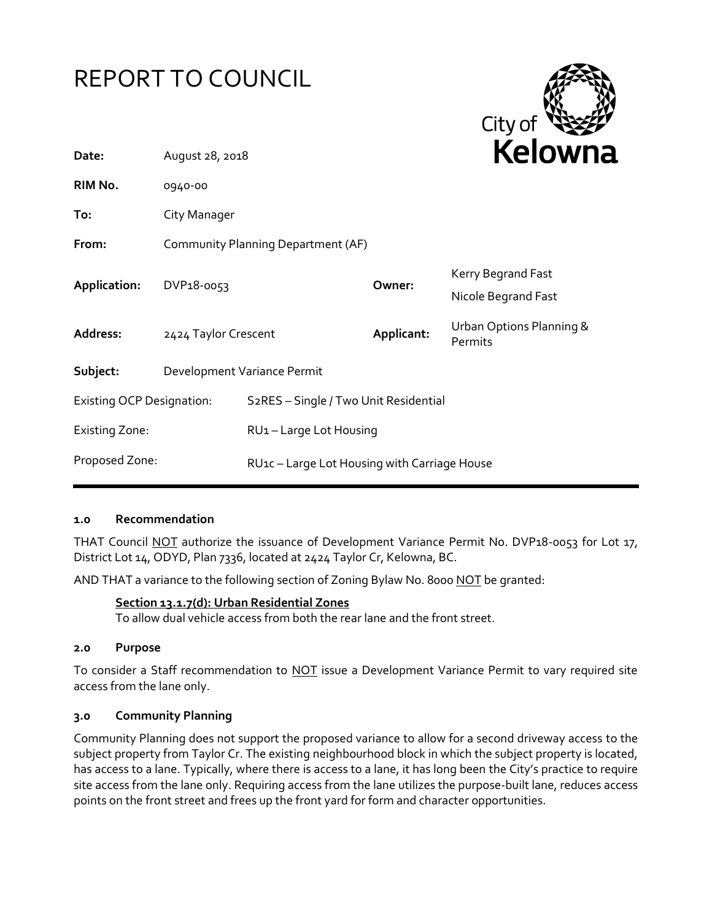



| Date:                            | August 28, 2018                    |                                                    |            | <b>NEIUWH</b>                             |
|----------------------------------|------------------------------------|----------------------------------------------------|------------|-------------------------------------------|
| RIM No.                          | 0940-00                            |                                                    |            |                                           |
| To:                              | City Manager                       |                                                    |            |                                           |
| From:                            | Community Planning Department (AF) |                                                    |            |                                           |
| Application:                     | DVP18-0053                         |                                                    | Owner:     | Kerry Begrand Fast<br>Nicole Begrand Fast |
| Address:                         | 2424 Taylor Crescent               |                                                    | Applicant: | Urban Options Planning &<br>Permits       |
| Subject:                         | Development Variance Permit        |                                                    |            |                                           |
| <b>Existing OCP Designation:</b> |                                    | S <sub>2</sub> RES - Single / Two Unit Residential |            |                                           |
| <b>Existing Zone:</b>            |                                    | RU1-Large Lot Housing                              |            |                                           |
| Proposed Zone:                   |                                    | RU1c-Large Lot Housing with Carriage House         |            |                                           |

#### **1.0 Recommendation**

THAT Council NOT authorize the issuance of Development Variance Permit No. DVP18-0053 for Lot 17, District Lot 14, ODYD, Plan 7336, located at 2424 Taylor Cr, Kelowna, BC.

AND THAT a variance to the following section of Zoning Bylaw No. 8000 NOT be granted:

#### **Section 13.1.7(d): Urban Residential Zones**

To allow dual vehicle access from both the rear lane and the front street.

#### **2.0 Purpose**

To consider a Staff recommendation to NOT issue a Development Variance Permit to vary required site access from the lane only.

#### **3.0 Community Planning**

Community Planning does not support the proposed variance to allow for a second driveway access to the subject property from Taylor Cr. The existing neighbourhood block in which the subject property is located, has access to a lane. Typically, where there is access to a lane, it has long been the City's practice to require site access from the lane only. Requiring access from the lane utilizes the purpose-built lane, reduces access points on the front street and frees up the front yard for form and character opportunities.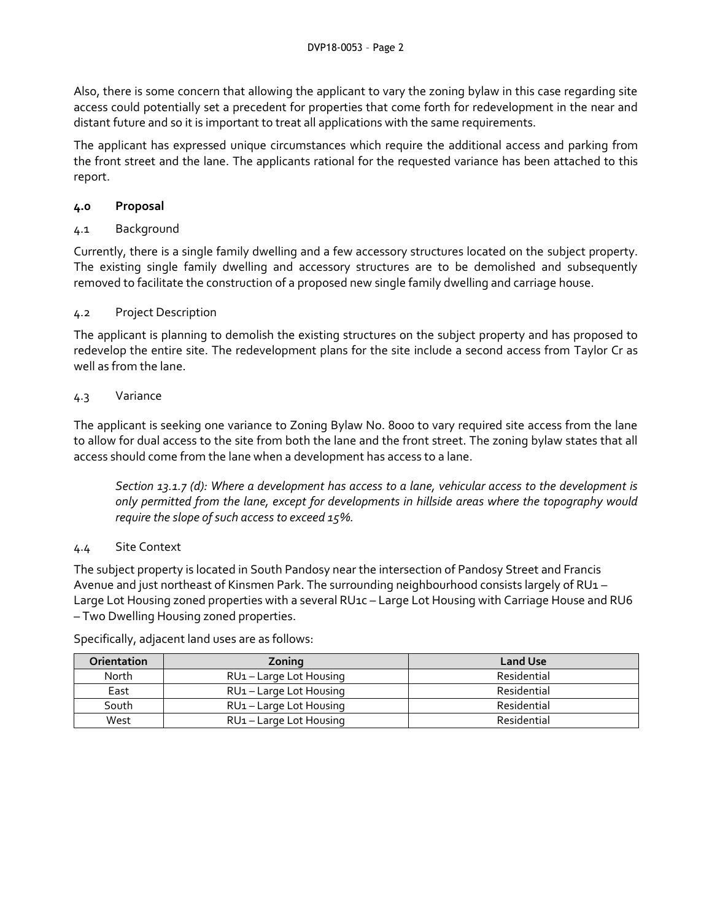Also, there is some concern that allowing the applicant to vary the zoning bylaw in this case regarding site access could potentially set a precedent for properties that come forth for redevelopment in the near and distant future and so it is important to treat all applications with the same requirements.

The applicant has expressed unique circumstances which require the additional access and parking from the front street and the lane. The applicants rational for the requested variance has been attached to this report.

# **4.0 Proposal**

4.1 Background

Currently, there is a single family dwelling and a few accessory structures located on the subject property. The existing single family dwelling and accessory structures are to be demolished and subsequently removed to facilitate the construction of a proposed new single family dwelling and carriage house.

# 4.2 Project Description

The applicant is planning to demolish the existing structures on the subject property and has proposed to redevelop the entire site. The redevelopment plans for the site include a second access from Taylor Cr as well as from the lane.

# 4.3 Variance

The applicant is seeking one variance to Zoning Bylaw No. 8000 to vary required site access from the lane to allow for dual access to the site from both the lane and the front street. The zoning bylaw states that all access should come from the lane when a development has access to a lane.

*Section 13.1.7 (d): Where a development has access to a lane, vehicular access to the development is only permitted from the lane, except for developments in hillside areas where the topography would require the slope of such access to exceed 15%.* 

# 4.4 Site Context

The subject property is located in South Pandosy near the intersection of Pandosy Street and Francis Avenue and just northeast of Kinsmen Park. The surrounding neighbourhood consists largely of RU1 – Large Lot Housing zoned properties with a several RU1c - Large Lot Housing with Carriage House and RU6 – Two Dwelling Housing zoned properties.

Specifically, adjacent land uses are as follows:

| Orientation | Zoning                              | <b>Land Use</b> |
|-------------|-------------------------------------|-----------------|
| North       | RU <sub>1</sub> – Large Lot Housing | Residential     |
| East        | RU <sub>1</sub> – Large Lot Housing | Residential     |
| South       | RU <sub>1</sub> – Large Lot Housing | Residential     |
| West        | RU <sub>1</sub> – Large Lot Housing | Residential     |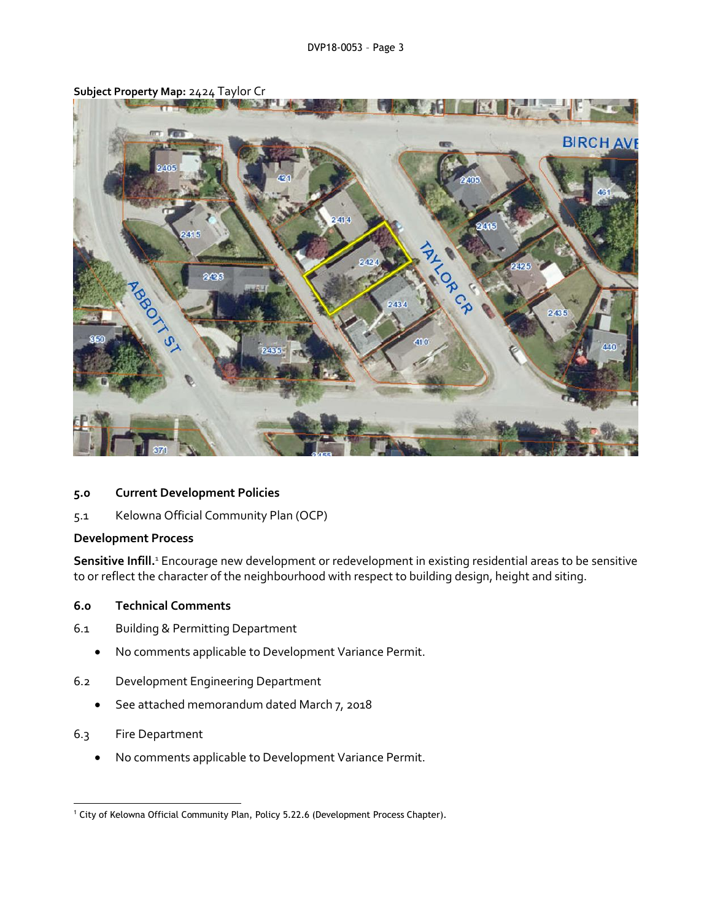

**Subject Property Map:** 2424 Taylor Cr

#### **5.0 Current Development Policies**

5.1 Kelowna Official Community Plan (OCP)

#### **Development Process**

Sensitive Infill.<sup>1</sup> Encourage new development or redevelopment in existing residential areas to be sensitive to or reflect the character of the neighbourhood with respect to building design, height and siting.

#### **6.0 Technical Comments**

- 6.1 Building & Permitting Department
	- No comments applicable to Development Variance Permit.
- 6.2 Development Engineering Department
	- See attached memorandum dated March 7, 2018
- 6.3 Fire Department
	- No comments applicable to Development Variance Permit.

<sup>-</sup><sup>1</sup> City of Kelowna Official Community Plan, Policy 5.22.6 (Development Process Chapter).